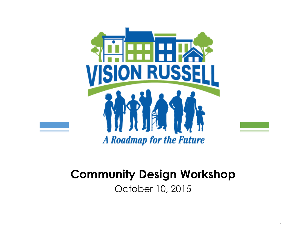

#### **Community Design Workshop**

October 10, 2015

1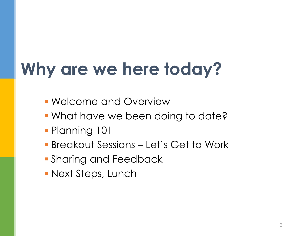### **Why are we here today?**

- Welcome and Overview
- **What have we been doing to date?**
- **Planning 101**
- Breakout Sessions Let's Get to Work
- **Sharing and Feedback**
- **Next Steps, Lunch**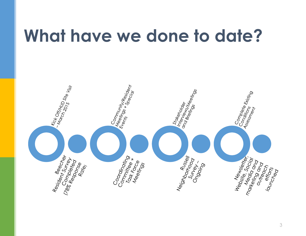#### **What have we done to date?**

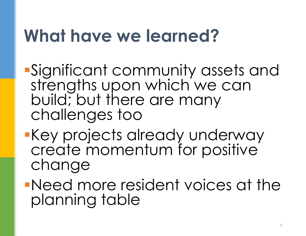#### **What have we learned?**

- Significant community assets and strengths upon which we can build; but there are many challenges too
- Key projects already underway create momentum for positive change

Need more resident voices at the planning table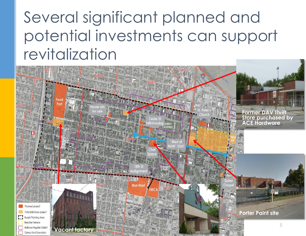#### Several significant planned and potential investments can support revitalization

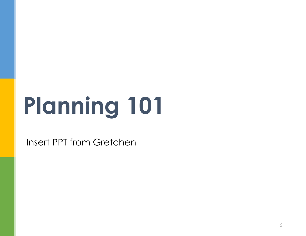# **Planning 101**

Insert PPT from Gretchen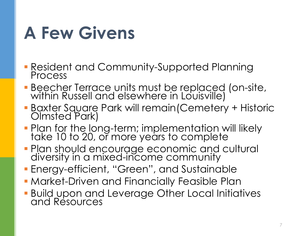#### **A Few Givens**

- Resident and Community-Supported Planning Process
- **Beecher Terrace units must be replaced (on-site,** within Russell and elsewhere in Louisville)
- Baxter Square Park will remain(Cemetery + Historic Olmsted Park)
- **Plan for the long-term; implementation will likely** take 10 to 20, or more years to complete
- **Plan should encourage economic and cultural** diversity in a mixed-income community
- Energy-efficient, "Green", and Sustainable
- **Market-Driven and Financially Feasible Plan**
- **Build upon and Leverage Other Local Initiatives** and Resources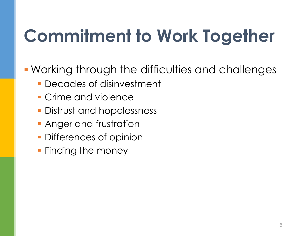### **Commitment to Work Together**

Working through the difficulties and challenges

- Decades of disinvestment
- **Crime and violence**
- **Distrust and hopelessness**
- **Anger and frustration**
- Differences of opinion
- **Finding the money**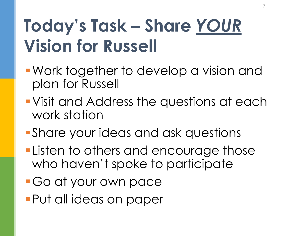#### **Today's Task – Share** *YOUR* **Vision for Russell**

- Work together to develop a vision and plan for Russell
- Visit and Address the questions at each work station
- Share your ideas and ask questions
- **-Listen to others and encourage those** who haven't spoke to participate
- Go at your own pace
- Put all ideas on paper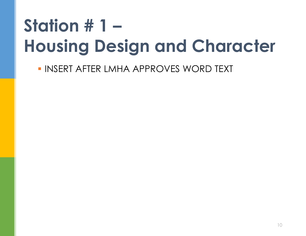### **Station # 1 – Housing Design and Character**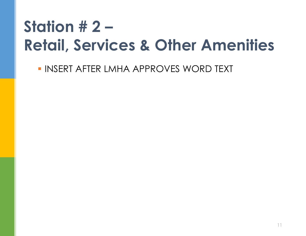#### **Station # 2 – Retail, Services & Other Amenities**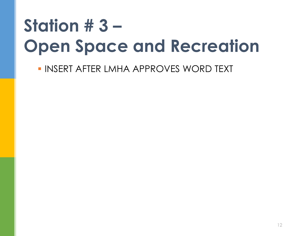### **Station # 3 – Open Space and Recreation**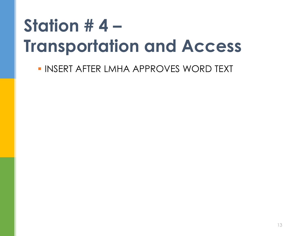### **Station # 4 – Transportation and Access**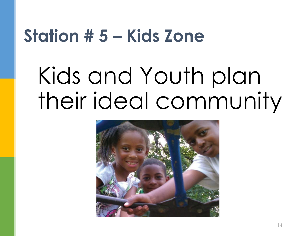#### **Station # 5 – Kids Zone**

## Kids and Youth plan their ideal community

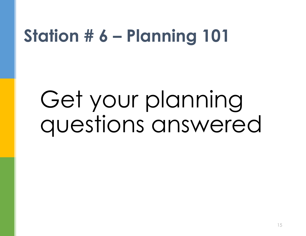#### **Station # 6 – Planning 101**

## Get your planning questions answered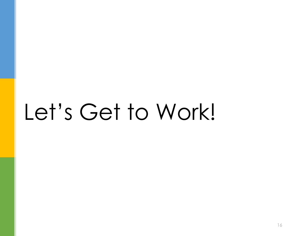## Let's Get to Work!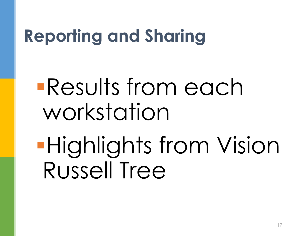#### **Reporting and Sharing**

## Results from each workstation

Highlights from Vision Russell Tree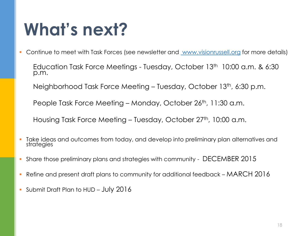#### **What's next?**

- Continue to meet with Task Forces (see newsletter and [www.visionrussell.org](http://www.visionrussell.org) for more details)
	- Education Task Force Meetings Tuesday, October 13th 10:00 a.m. & 6:30 p.m.
	- Neighborhood Task Force Meeting Tuesday, October 13th, 6:30 p.m.

People Task Force Meeting – Monday, October 26<sup>th</sup>, 11:30 a.m.

Housing Task Force Meeting – Tuesday, October 27<sup>th</sup>, 10:00 a.m.

- Take ideas and outcomes from today, and develop into preliminary plan alternatives and strategies
- Share those preliminary plans and strategies with community DECEMBER 2015
- Refine and present draft plans to community for additional feedback MARCH 2016
- Submit Draft Plan to HUD July 2016